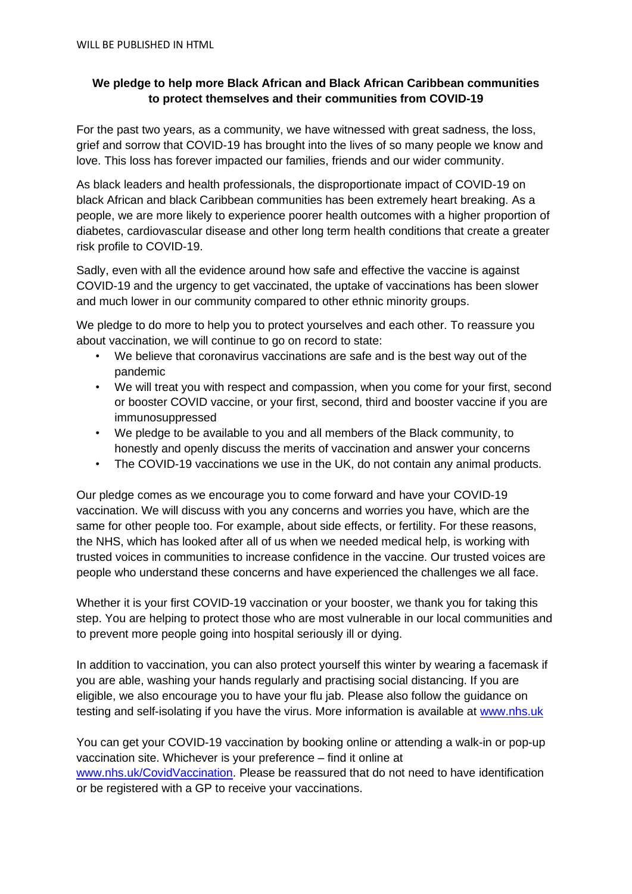## **We pledge to help more Black African and Black African Caribbean communities to protect themselves and their communities from COVID-19**

For the past two years, as a community, we have witnessed with great sadness, the loss, grief and sorrow that COVID-19 has brought into the lives of so many people we know and love. This loss has forever impacted our families, friends and our wider community.

As black leaders and health professionals, the disproportionate impact of COVID-19 on black African and black Caribbean communities has been extremely heart breaking. As a people, we are more likely to experience poorer health outcomes with a higher proportion of diabetes, cardiovascular disease and other long term health conditions that create a greater risk profile to COVID-19.

Sadly, even with all the evidence around how safe and effective the vaccine is against COVID-19 and the urgency to get vaccinated, the uptake of vaccinations has been slower and much lower in our community compared to other ethnic minority groups.

We pledge to do more to help you to protect yourselves and each other. To reassure you about vaccination, we will continue to go on record to state:

- We believe that coronavirus vaccinations are safe and is the best way out of the pandemic
- We will treat you with respect and compassion, when you come for your first, second or booster COVID vaccine, or your first, second, third and booster vaccine if you are immunosuppressed
- We pledge to be available to you and all members of the Black community, to honestly and openly discuss the merits of vaccination and answer your concerns
- The COVID-19 vaccinations we use in the UK, do not contain any animal products.

Our pledge comes as we encourage you to come forward and have your COVID-19 vaccination. We will discuss with you any concerns and worries you have, which are the same for other people too. For example, about side effects, or fertility. For these reasons, the NHS, which has looked after all of us when we needed medical help, is working with trusted voices in communities to increase confidence in the vaccine. Our trusted voices are people who understand these concerns and have experienced the challenges we all face.

Whether it is your first COVID-19 vaccination or your booster, we thank you for taking this step. You are helping to protect those who are most vulnerable in our local communities and to prevent more people going into hospital seriously ill or dying.

In addition to vaccination, you can also protect yourself this winter by wearing a facemask if you are able, washing your hands regularly and practising social distancing. If you are eligible, we also encourage you to have your flu jab. Please also follow the guidance on testing and self-isolating if you have the virus. More information is available at [www.nhs.uk](https://www.nhs.uk/conditions/coronavirus-covid-19/testing/get-tested-for-coronavirus/)

You can get your COVID-19 vaccination by booking online or attending a walk-in or pop-up vaccination site. Whichever is your preference – find it online at [www.nhs.uk/CovidVaccination.](http://www.nhs.uk/CovidVaccination) Please be reassured that do not need to have identification or be registered with a GP to receive your vaccinations.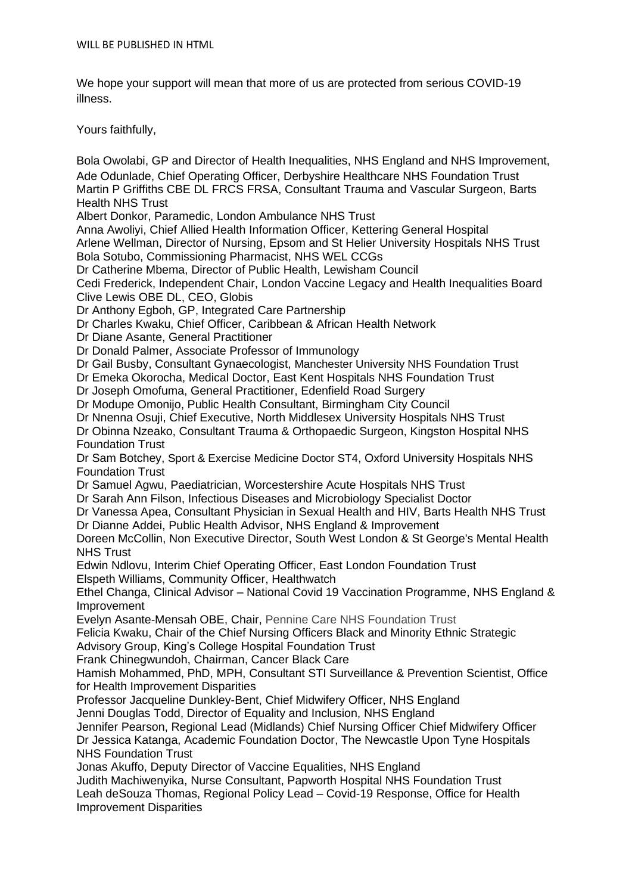We hope your support will mean that more of us are protected from serious COVID-19 illness.

Yours faithfully,

Bola Owolabi, GP and Director of Health Inequalities, NHS England and NHS Improvement, Ade Odunlade, Chief Operating Officer, Derbyshire Healthcare NHS Foundation Trust Martin P Griffiths CBE DL FRCS FRSA, Consultant Trauma and Vascular Surgeon, Barts Health NHS Trust

Albert Donkor, Paramedic, London Ambulance NHS Trust

Anna Awoliyi, Chief Allied Health Information Officer, Kettering General Hospital Arlene Wellman, Director of Nursing, Epsom and St Helier University Hospitals NHS Trust Bola Sotubo, Commissioning Pharmacist, NHS WEL CCGs

Dr Catherine Mbema, Director of Public Health, Lewisham Council

Cedi Frederick, Independent Chair, London Vaccine Legacy and Health Inequalities Board Clive Lewis OBE DL, CEO, Globis

Dr Anthony Egboh, GP, Integrated Care Partnership

Dr Charles Kwaku, Chief Officer, Caribbean & African Health Network

Dr Diane Asante, General Practitioner

Dr Donald Palmer, Associate Professor of Immunology

Dr Gail Busby, Consultant Gynaecologist, Manchester University NHS Foundation Trust

Dr Emeka Okorocha, Medical Doctor, East Kent Hospitals NHS Foundation Trust

Dr Joseph Omofuma, General Practitioner, Edenfield Road Surgery

Dr Modupe Omonijo, Public Health Consultant, Birmingham City Council

Dr Nnenna Osuji, Chief Executive, North Middlesex University Hospitals NHS Trust

Dr Obinna Nzeako, Consultant Trauma & Orthopaedic Surgeon, Kingston Hospital NHS Foundation Trust

Dr Sam Botchey, Sport & Exercise Medicine Doctor ST4, Oxford University Hospitals NHS Foundation Trust

Dr Samuel Agwu, Paediatrician, Worcestershire Acute Hospitals NHS Trust

Dr Sarah Ann Filson, Infectious Diseases and Microbiology Specialist Doctor

Dr Vanessa Apea, Consultant Physician in Sexual Health and HIV, Barts Health NHS Trust Dr Dianne Addei, Public Health Advisor, NHS England & Improvement

Doreen McCollin, Non Executive Director, South West London & St George's Mental Health NHS Trust

Edwin Ndlovu, Interim Chief Operating Officer, East London Foundation Trust Elspeth Williams, Community Officer, Healthwatch

Ethel Changa, Clinical Advisor – National Covid 19 Vaccination Programme, NHS England & Improvement

Evelyn Asante-Mensah OBE, Chair, Pennine Care NHS Foundation Trust

Felicia Kwaku, Chair of the Chief Nursing Officers Black and Minority Ethnic Strategic

Advisory Group, King's College Hospital Foundation Trust

Frank Chinegwundoh, Chairman, Cancer Black Care

Hamish Mohammed, PhD, MPH, Consultant STI Surveillance & Prevention Scientist, Office for Health Improvement Disparities

Professor Jacqueline Dunkley-Bent, Chief Midwifery Officer, NHS England

Jenni Douglas Todd, Director of Equality and Inclusion, NHS England

Jennifer Pearson, Regional Lead (Midlands) Chief Nursing Officer Chief Midwifery Officer Dr Jessica Katanga, Academic Foundation Doctor, The Newcastle Upon Tyne Hospitals NHS Foundation Trust

Jonas Akuffo, Deputy Director of Vaccine Equalities, NHS England

Judith Machiwenyika, Nurse Consultant, Papworth Hospital NHS Foundation Trust Leah deSouza Thomas, [Regional Policy Lead –](mailto:leah.desouzathomas@phe.gov.uk) Covid-19 Response, Office for Health Improvement Disparities